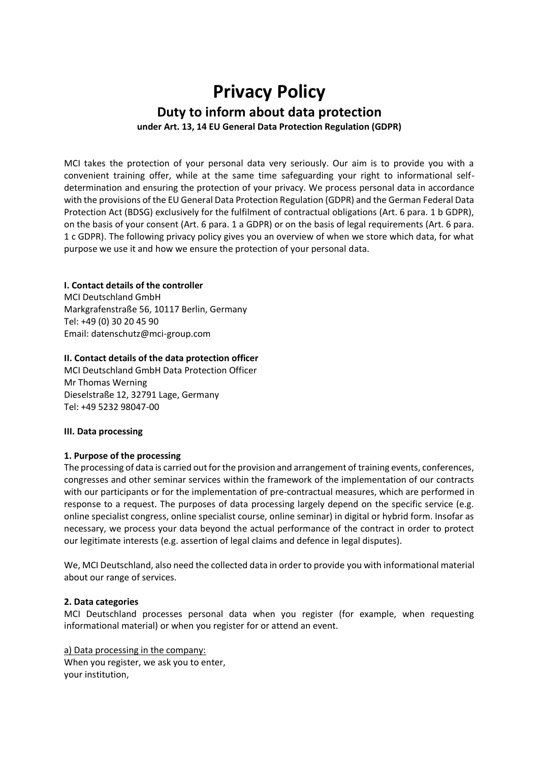# **Privacy Policy Duty to inform about data protection under Art. 13, 14 EU General Data Protection Regulation (GDPR)**

MCI takes the protection of your personal data very seriously. Our aim is to provide you with a convenient training offer, while at the same time safeguarding your right to informational selfdetermination and ensuring the protection of your privacy. We process personal data in accordance with the provisions of the EU General Data Protection Regulation (GDPR) and the German Federal Data Protection Act (BDSG) exclusively for the fulfilment of contractual obligations (Art. 6 para. 1 b GDPR), on the basis of your consent (Art. 6 para. 1 a GDPR) or on the basis of legal requirements (Art. 6 para. 1 c GDPR). The following privacy policy gives you an overview of when we store which data, for what purpose we use it and how we ensure the protection of your personal data.

# **I. Contact details of the controller**

MCI Deutschland GmbH Markgrafenstraße 56, 10117 Berlin, Germany Tel: +49 (0) 30 20 45 90 Email: datenschutz@mci-group.com

# **II. Contact details of the data protection officer**

MCI Deutschland GmbH Data Protection Officer Mr Thomas Werning Dieselstraße 12, 32791 Lage, Germany Tel: +49 5232 98047-00

# **III. Data processing**

# **1. Purpose of the processing**

The processing of data is carried out for the provision and arrangement of training events, conferences, congresses and other seminar services within the framework of the implementation of our contracts with our participants or for the implementation of pre-contractual measures, which are performed in response to a request. The purposes of data processing largely depend on the specific service (e.g. online specialist congress, online specialist course, online seminar) in digital or hybrid form. Insofar as necessary, we process your data beyond the actual performance of the contract in order to protect our legitimate interests (e.g. assertion of legal claims and defence in legal disputes).

We, MCI Deutschland, also need the collected data in order to provide you with informational material about our range of services.

# **2. Data categories**

MCI Deutschland processes personal data when you register (for example, when requesting informational material) or when you register for or attend an event.

# a) Data processing in the company:

When you register, we ask you to enter, your institution,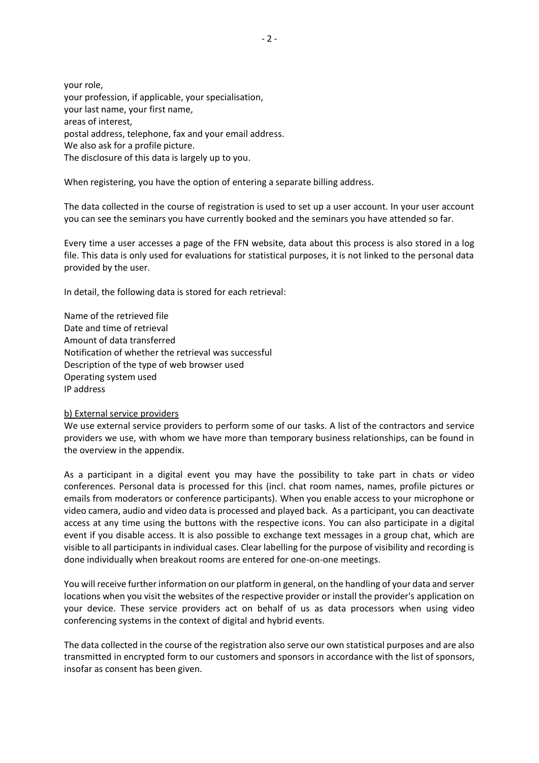your role, your profession, if applicable, your specialisation, your last name, your first name, areas of interest, postal address, telephone, fax and your email address. We also ask for a profile picture. The disclosure of this data is largely up to you.

When registering, you have the option of entering a separate billing address.

The data collected in the course of registration is used to set up a user account. In your user account you can see the seminars you have currently booked and the seminars you have attended so far.

Every time a user accesses a page of the FFN website, data about this process is also stored in a log file. This data is only used for evaluations for statistical purposes, it is not linked to the personal data provided by the user.

In detail, the following data is stored for each retrieval:

Name of the retrieved file Date and time of retrieval Amount of data transferred Notification of whether the retrieval was successful Description of the type of web browser used Operating system used IP address

# b) External service providers

We use external service providers to perform some of our tasks. A list of the contractors and service providers we use, with whom we have more than temporary business relationships, can be found in the overview in the appendix.

As a participant in a digital event you may have the possibility to take part in chats or video conferences. Personal data is processed for this (incl. chat room names, names, profile pictures or emails from moderators or conference participants). When you enable access to your microphone or video camera, audio and video data is processed and played back. As a participant, you can deactivate access at any time using the buttons with the respective icons. You can also participate in a digital event if you disable access. It is also possible to exchange text messages in a group chat, which are visible to all participants in individual cases. Clear labelling for the purpose of visibility and recording is done individually when breakout rooms are entered for one-on-one meetings.

You will receive further information on our platform in general, on the handling of your data and server locations when you visit the websites of the respective provider or install the provider's application on your device. These service providers act on behalf of us as data processors when using video conferencing systems in the context of digital and hybrid events.

The data collected in the course of the registration also serve our own statistical purposes and are also transmitted in encrypted form to our customers and sponsors in accordance with the list of sponsors, insofar as consent has been given.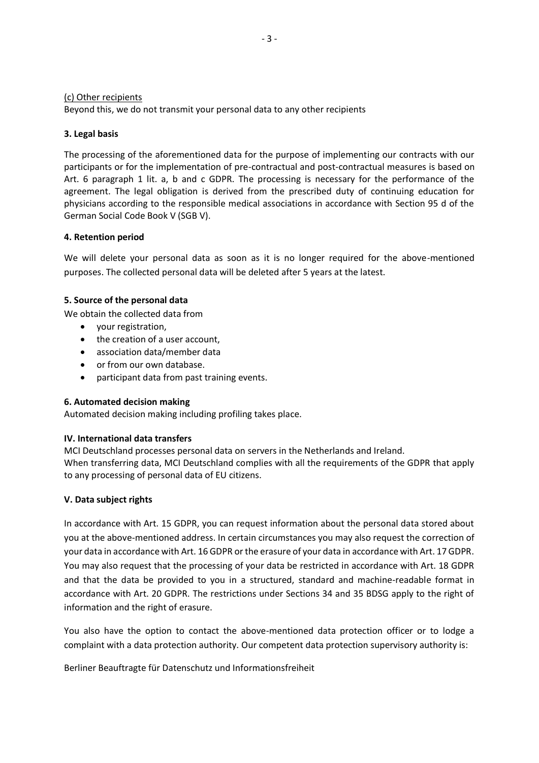#### (c) Other recipients

Beyond this, we do not transmit your personal data to any other recipients

#### **3. Legal basis**

The processing of the aforementioned data for the purpose of implementing our contracts with our participants or for the implementation of pre-contractual and post-contractual measures is based on Art. 6 paragraph 1 lit. a, b and c GDPR. The processing is necessary for the performance of the agreement. The legal obligation is derived from the prescribed duty of continuing education for physicians according to the responsible medical associations in accordance with Section 95 d of the German Social Code Book V (SGB V).

#### **4. Retention period**

We will delete your personal data as soon as it is no longer required for the above-mentioned purposes. The collected personal data will be deleted after 5 years at the latest.

#### **5. Source of the personal data**

We obtain the collected data from

- your registration,
- the creation of a user account,
- association data/member data
- or from our own database.
- participant data from past training events.

# **6. Automated decision making**

Automated decision making including profiling takes place.

# **IV. International data transfers**

MCI Deutschland processes personal data on servers in the Netherlands and Ireland. When transferring data, MCI Deutschland complies with all the requirements of the GDPR that apply to any processing of personal data of EU citizens.

# **V. Data subject rights**

In accordance with Art. 15 GDPR, you can request information about the personal data stored about you at the above-mentioned address. In certain circumstances you may also request the correction of your data in accordance with Art. 16 GDPR or the erasure of your data in accordance with Art. 17 GDPR. You may also request that the processing of your data be restricted in accordance with Art. 18 GDPR and that the data be provided to you in a structured, standard and machine-readable format in accordance with Art. 20 GDPR. The restrictions under Sections 34 and 35 BDSG apply to the right of information and the right of erasure.

You also have the option to contact the above-mentioned data protection officer or to lodge a complaint with a data protection authority. Our competent data protection supervisory authority is:

Berliner Beauftragte für Datenschutz und Informationsfreiheit